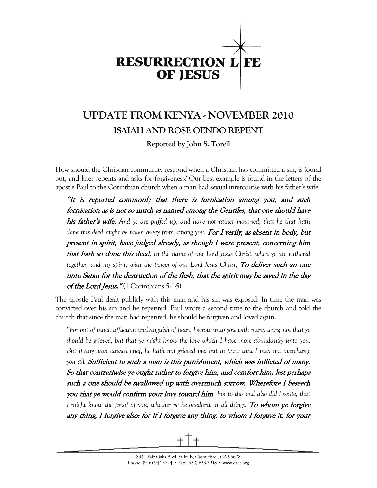

# **UPDATE FROM KENYA - NOVEMBER 2010 ISAIAH AND ROSE OENDO REPENT Reported by John S. Torell**

How should the Christian community respond when a Christian has committed a sin, is found out, and later repents and asks for forgiveness? Our best example is found in the letters of the apostle Paul to the Corinthian church when a man had sexual intercourse with his father's wife:

"It is reported commonly that there is fornication among you, and such fornication as is not so much as named among the Gentiles, that one should have his father's wife. *And ye are puffed up, and have not rather mourned, that he that hath done this deed might be taken away from among you.* For I verily, as absent in body, but present in spirit, have judged already, as though I were present, concerning him that hath so done this deed, *In the name of our Lord Jesus Christ, when ye are gathered together, and my spirit, with the power of our Lord Jesus Christ,* To deliver such an one unto Satan for the destruction of the flesh, that the spirit may be saved in the day of the Lord Jesus." $(1$  Corinthians 5:1-5)

The apostle Paul dealt publicly with this man and his sin was exposed. In time the man was convicted over his sin and he repented. Paul wrote a second time to the church and told the church that since the man had repented, he should be forgiven and loved again.

*"For out of much affliction and anguish of heart I wrote unto you with many tears; not that ye should be grieved, but that ye might know the love which I have more abundantly unto you. But if any have caused grief, he hath not grieved me, but in part: that I may not overcharge you all.* Sufficient to such a man is this punishment, which was inflicted of many. So that contrariwise ye ought rather to forgive him, and comfort him, lest perhaps such a one should be swallowed up with overmuch sorrow. Wherefore I beseech you that ye would confirm your love toward him. *For to this end also did I write, that I might know the proof of you, whether ye be obedient in all things. To whom ye forgive* any thing, I forgive also: for if I forgave any thing, to whom I forgave it, for your

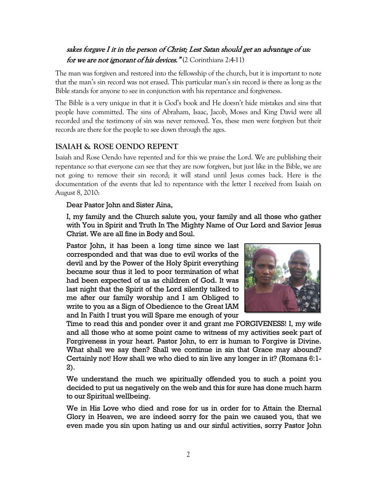## sakes forgave I it in the person of Christ; Lest Satan should get an advantage of us: for we are not ignorant of his devices."  $(2 \text{ Corinthians } 2:4-11)$

The man was forgiven and restored into the fellowship of the church, but it is important to note that the man's sin record was not erased. This particular man's sin record is there as long as the Bible stands for anyone to see in conjunction with his repentance and forgiveness.

The Bible is a very unique in that it is God's book and He doesn't hide mistakes and sins that people have committed. The sins of Abraham, Isaac, Jacob, Moses and King David were all recorded and the testimony of sin was never removed. Yes, these men were forgiven but their records are there for the people to see down through the ages.

#### **ISAIAH & ROSE OENDO REPENT**

Isaiah and Rose Oendo have repented and for this we praise the Lord. We are publishing their repentance so that everyone can see that they are now forgiven, but just like in the Bible, we are not going to remove their sin record; it will stand until Jesus comes back. Here is the documentation of the events that led to repentance with the letter I received from Isaiah on August 8, 2010:

#### Dear Pastor John and Sister Aina,

I, my family and the Church salute you, your family and all those who gather with You in Spirit and Truth In The Mighty Name of Our Lord and Savior Jesus Christ. We are all fine in Body and Soul.

Pastor John, it has been a long time since we last corresponded and that was due to evil works of the devil and by the Power of the Holy Spirit everything became sour thus it led to poor termination of what had been expected of us as children of God. It was last night that the Spirit of the Lord silently talked to me after our family worship and I am Obliged to write to you as a Sign of Obedience to the Great IAM and In Faith I trust you will Spare me enough of your



Time to read this and ponder over it and grant me FORGIVENESS! I, my wife and all those who at some point came to witness of my activities seek part of Forgiveness in your heart. Pastor John, to err is human to Forgive is Divine. What shall we say then? Shall we continue in sin that Grace may abound? Certainly not! How shall we who died to sin live any longer in it? (Romans 6:1- 2).

We understand the much we spiritually offended you to such a point you decided to put us negatively on the web and this for sure has done much harm to our Spiritual wellbeing.

We in His Love who died and rose for us in order for to Attain the Eternal Glory in Heaven, we are indeed sorry for the pain we caused you, that we even made you sin upon hating us and our sinful activities, sorry Pastor John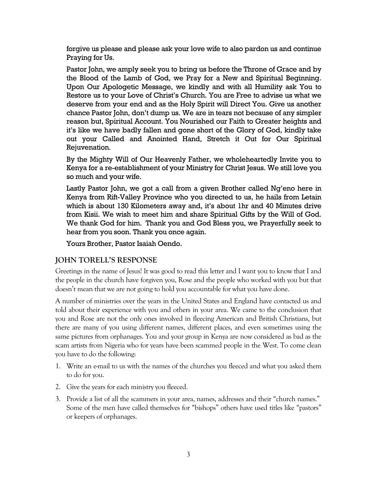forgive us please and please ask your love wife to also pardon us and continue Praying for Us.

Pastor John, we amply seek you to bring us before the Throne of Grace and by the Blood of the Lamb of God, we Pray for a New and Spiritual Beginning. Upon Our Apologetic Message, we kindly and with all Humility ask You to Restore us to your Love of Christ's Church. You are Free to advise us what we deserve from your end and as the Holy Spirit will Direct You. Give us another chance Pastor John, don't dump us. We are in tears not because of any simpler reason but, Spiritual Account. You Nourished our Faith to Greater heights and it's like we have badly fallen and gone short of the Glory of God, kindly take out your Called and Anointed Hand, Stretch it Out for Our Spiritual Rejuvenation.

By the Mighty Will of Our Heavenly Father, we wholeheartedly Invite you to Kenya for a re-establishment of your Ministry for Christ Jesus. We still love you so much and your wife.

Lastly Pastor John, we got a call from a given Brother called Ng'eno here in Kenya from Rift-Valley Province who you directed to us, he hails from Letain which is about 130 Kilometers away and, it's about 1hr and 40 Minutes drive from Kisii. We wish to meet him and share Spiritual Gifts by the Will of God. We thank God for him. Thank you and God Bless you, we Prayerfully seek to hear from you soon. Thank you once again.

Yours Brother, Pastor Isaiah Oendo.

#### **JOHN TORELL'S RESPONSE**

Greetings in the name of Jesus! It was good to read this letter and I want you to know that I and the people in the church have forgiven you, Rose and the people who worked with you but that doesn't mean that we are not going to hold you accountable for what you have done.

A number of ministries over the years in the United States and England have contacted us and told about their experience with you and others in your area. We came to the conclusion that you and Rose are not the only ones involved in fleecing American and British Christians, but there are many of you using different names, different places, and even sometimes using the same pictures from orphanages. You and your group in Kenya are now considered as bad as the scam artists from Nigeria who for years have been scammed people in the West. To come clean you have to do the following:

- 1. Write an e-mail to us with the names of the churches you fleeced and what you asked them to do for you.
- 2. Give the years for each ministry you fleeced.
- 3. Provide a list of all the scammers in your area, names, addresses and their "church names." Some of the men have called themselves for "bishops" others have used titles like "pastors" or keepers of orphanages.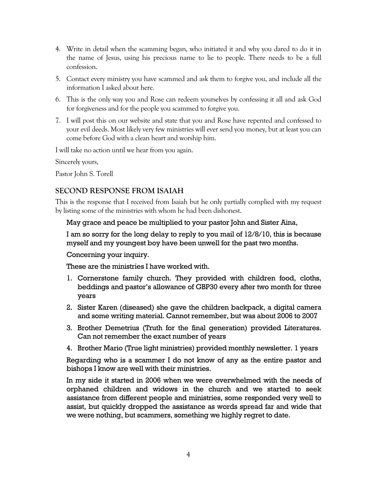- 4. Write in detail when the scamming began, who initiated it and why you dared to do it in the name of Jesus, using his precious name to lie to people. There needs to be a full confession.
- 5. Contact every ministry you have scammed and ask them to forgive you, and include all the information I asked about here.
- 6. This is the only way you and Rose can redeem yourselves by confessing it all and ask God for forgiveness and for the people you scammed to forgive you.
- 7. I will post this on our website and state that you and Rose have repented and confessed to your evil deeds. Most likely very few ministries will ever send you money, but at least you can come before God with a clean heart and worship him.

I will take no action until we hear from you again.

Sincerely yours,

Pastor John S. Torell

### **SECOND RESPONSE FROM ISAIAH**

This is the response that I received from Isaiah but he only partially complied with my request by listing some of the ministries with whom he had been dishonest.

#### May grace and peace be multiplied to your pastor John and Sister Aina,

I am so sorry for the long delay to reply to you mail of 12/8/10, this is because myself and my youngest boy have been unwell for the past two months.

Concerning your inquiry.

These are the ministries I have worked with.

- 1. Cornerstone family church. They provided with children food, cloths, beddings and pastor's allowance of GBP30 every after two month for three years
- 2. Sister Karen (diseased) she gave the children backpack, a digital camera and some writing material. Cannot remember, but was about 2006 to 2007
- 3. Brother Demetrius (Truth for the final generation) provided Literatures. Can not remember the exact number of years
- 4. Brother Mario (True light ministries) provided monthly newsletter. 1 years

Regarding who is a scammer I do not know of any as the entire pastor and bishops I know are well with their ministries.

In my side it started in 2006 when we were overwhelmed with the needs of orphaned children and widows in the church and we started to seek assistance from different people and ministries, some responded very well to assist, but quickly dropped the assistance as words spread far and wide that we were nothing, but scammers, something we highly regret to date.